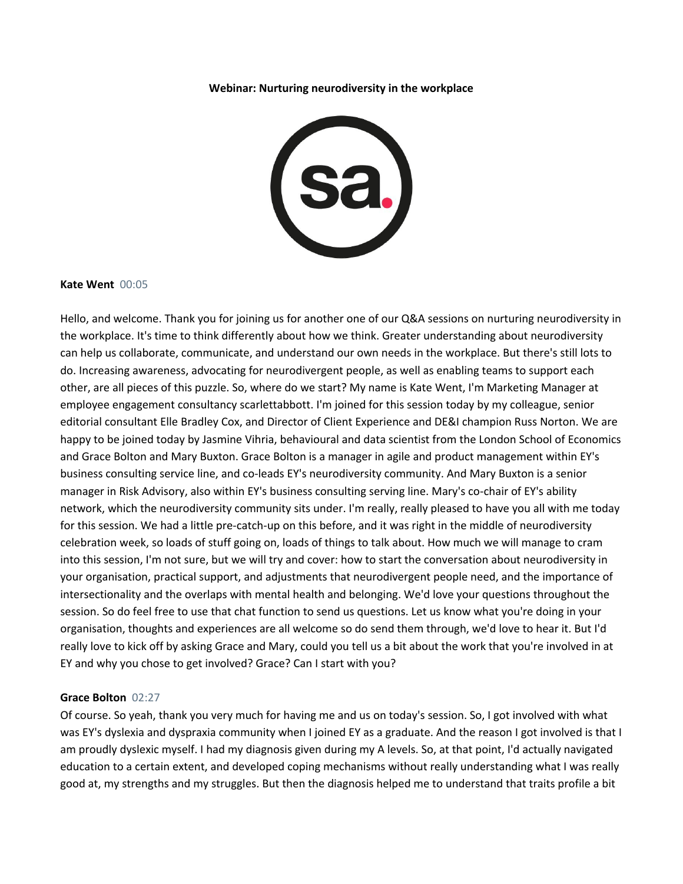#### **Webinar: Nurturing neurodiversity in the workplace**



#### **Kate Went** 00:05

Hello, and welcome. Thank you for joining us for another one of our Q&A sessions on nurturing neurodiversity in the workplace. It's time to think differently about how we think. Greater understanding about neurodiversity can help us collaborate, communicate, and understand our own needs in the workplace. But there's still lots to do. Increasing awareness, advocating for neurodivergent people, as well as enabling teams to support each other, are all pieces of this puzzle. So, where do we start? My name is Kate Went, I'm Marketing Manager at employee engagement consultancy scarlettabbott. I'm joined for this session today by my colleague, senior editorial consultant Elle Bradley Cox, and Director of Client Experience and DE&I champion Russ Norton. We are happy to be joined today by Jasmine Vihria, behavioural and data scientist from the London School of Economics and Grace Bolton and Mary Buxton. Grace Bolton is a manager in agile and product management within EY's business consulting service line, and co-leads EY's neurodiversity community. And Mary Buxton is a senior manager in Risk Advisory, also within EY's business consulting serving line. Mary's co-chair of EY's ability network, which the neurodiversity community sits under. I'm really, really pleased to have you all with me today for this session. We had a little pre-catch-up on this before, and it was right in the middle of neurodiversity celebration week, so loads of stuff going on, loads of things to talk about. How much we will manage to cram into this session, I'm not sure, but we will try and cover: how to start the conversation about neurodiversity in your organisation, practical support, and adjustments that neurodivergent people need, and the importance of intersectionality and the overlaps with mental health and belonging. We'd love your questions throughout the session. So do feel free to use that chat function to send us questions. Let us know what you're doing in your organisation, thoughts and experiences are all welcome so do send them through, we'd love to hear it. But I'd really love to kick off by asking Grace and Mary, could you tell us a bit about the work that you're involved in at EY and why you chose to get involved? Grace? Can I start with you?

# **Grace Bolton** 02:27

Of course. So yeah, thank you very much for having me and us on today's session. So, I got involved with what was EY's dyslexia and dyspraxia community when I joined EY as a graduate. And the reason I got involved is that I am proudly dyslexic myself. I had my diagnosis given during my A levels. So, at that point, I'd actually navigated education to a certain extent, and developed coping mechanisms without really understanding what I was really good at, my strengths and my struggles. But then the diagnosis helped me to understand that traits profile a bit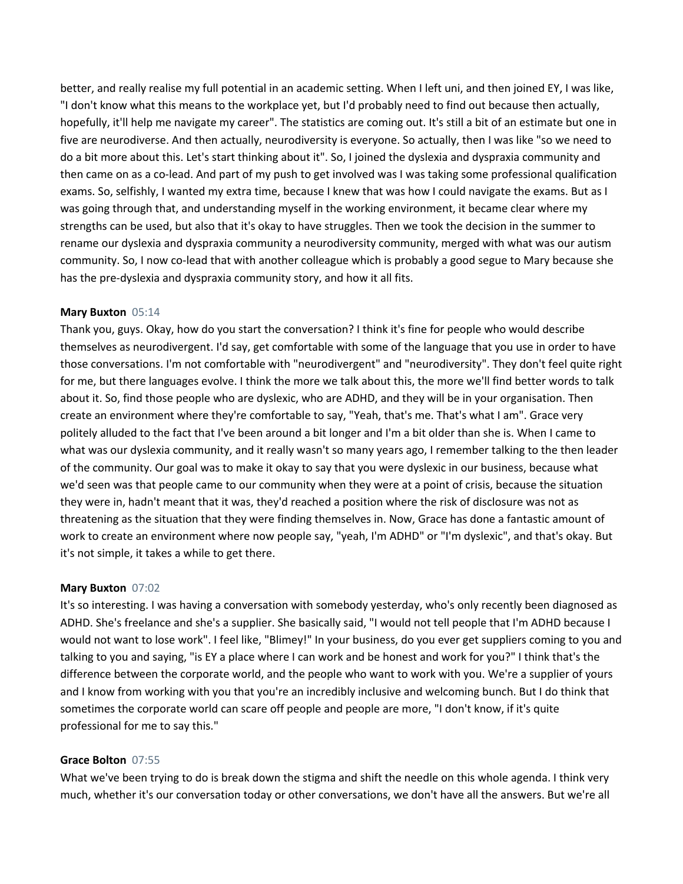better, and really realise my full potential in an academic setting. When I left uni, and then joined EY, I was like, "I don't know what this means to the workplace yet, but I'd probably need to find out because then actually, hopefully, it'll help me navigate my career". The statistics are coming out. It's still a bit of an estimate but one in five are neurodiverse. And then actually, neurodiversity is everyone. So actually, then I was like "so we need to do a bit more about this. Let's start thinking about it". So, I joined the dyslexia and dyspraxia community and then came on as a co-lead. And part of my push to get involved was I was taking some professional qualification exams. So, selfishly, I wanted my extra time, because I knew that was how I could navigate the exams. But as I was going through that, and understanding myself in the working environment, it became clear where my strengths can be used, but also that it's okay to have struggles. Then we took the decision in the summer to rename our dyslexia and dyspraxia community a neurodiversity community, merged with what was our autism community. So, I now co-lead that with another colleague which is probably a good segue to Mary because she has the pre-dyslexia and dyspraxia community story, and how it all fits.

# **Mary Buxton** 05:14

Thank you, guys. Okay, how do you start the conversation? I think it's fine for people who would describe themselves as neurodivergent. I'd say, get comfortable with some of the language that you use in order to have those conversations. I'm not comfortable with "neurodivergent" and "neurodiversity". They don't feel quite right for me, but there languages evolve. I think the more we talk about this, the more we'll find better words to talk about it. So, find those people who are dyslexic, who are ADHD, and they will be in your organisation. Then create an environment where they're comfortable to say, "Yeah, that's me. That's what I am". Grace very politely alluded to the fact that I've been around a bit longer and I'm a bit older than she is. When I came to what was our dyslexia community, and it really wasn't so many years ago, I remember talking to the then leader of the community. Our goal was to make it okay to say that you were dyslexic in our business, because what we'd seen was that people came to our community when they were at a point of crisis, because the situation they were in, hadn't meant that it was, they'd reached a position where the risk of disclosure was not as threatening as the situation that they were finding themselves in. Now, Grace has done a fantastic amount of work to create an environment where now people say, "yeah, I'm ADHD" or "I'm dyslexic", and that's okay. But it's not simple, it takes a while to get there.

# **Mary Buxton** 07:02

It's so interesting. I was having a conversation with somebody yesterday, who's only recently been diagnosed as ADHD. She's freelance and she's a supplier. She basically said, "I would not tell people that I'm ADHD because I would not want to lose work". I feel like, "Blimey!" In your business, do you ever get suppliers coming to you and talking to you and saying, "is EY a place where I can work and be honest and work for you?" I think that's the difference between the corporate world, and the people who want to work with you. We're a supplier of yours and I know from working with you that you're an incredibly inclusive and welcoming bunch. But I do think that sometimes the corporate world can scare off people and people are more, "I don't know, if it's quite professional for me to say this."

# **Grace Bolton** 07:55

What we've been trying to do is break down the stigma and shift the needle on this whole agenda. I think very much, whether it's our conversation today or other conversations, we don't have all the answers. But we're all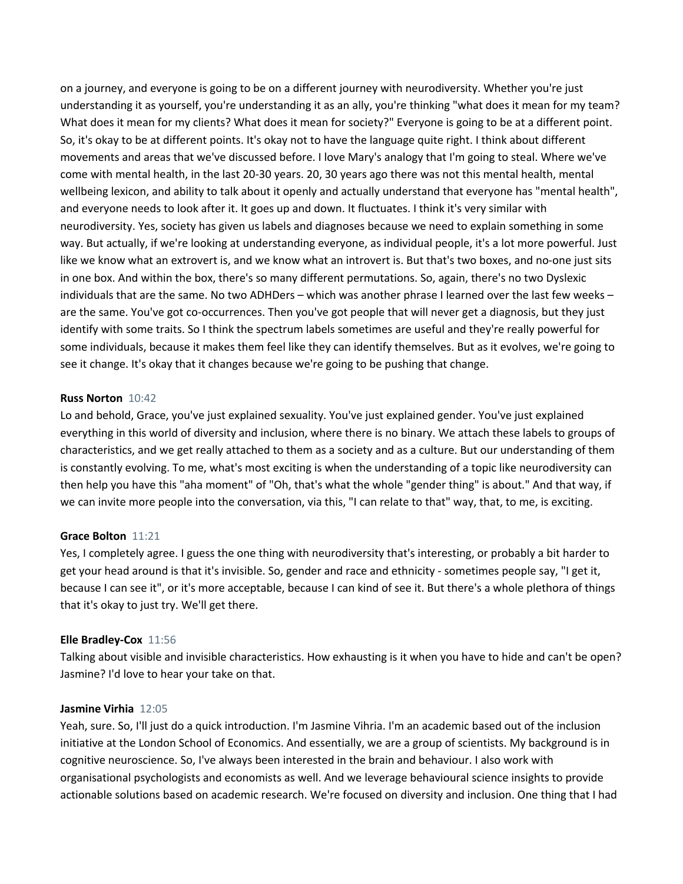on a journey, and everyone is going to be on a different journey with neurodiversity. Whether you're just understanding it as yourself, you're understanding it as an ally, you're thinking "what does it mean for my team? What does it mean for my clients? What does it mean for society?" Everyone is going to be at a different point. So, it's okay to be at different points. It's okay not to have the language quite right. I think about different movements and areas that we've discussed before. I love Mary's analogy that I'm going to steal. Where we've come with mental health, in the last 20-30 years. 20, 30 years ago there was not this mental health, mental wellbeing lexicon, and ability to talk about it openly and actually understand that everyone has "mental health", and everyone needs to look after it. It goes up and down. It fluctuates. I think it's very similar with neurodiversity. Yes, society has given us labels and diagnoses because we need to explain something in some way. But actually, if we're looking at understanding everyone, as individual people, it's a lot more powerful. Just like we know what an extrovert is, and we know what an introvert is. But that's two boxes, and no-one just sits in one box. And within the box, there's so many different permutations. So, again, there's no two Dyslexic individuals that are the same. No two ADHDers – which was another phrase I learned over the last few weeks – are the same. You've got co-occurrences. Then you've got people that will never get a diagnosis, but they just identify with some traits. So I think the spectrum labels sometimes are useful and they're really powerful for some individuals, because it makes them feel like they can identify themselves. But as it evolves, we're going to see it change. It's okay that it changes because we're going to be pushing that change.

### **Russ Norton** 10:42

Lo and behold, Grace, you've just explained sexuality. You've just explained gender. You've just explained everything in this world of diversity and inclusion, where there is no binary. We attach these labels to groups of characteristics, and we get really attached to them as a society and as a culture. But our understanding of them is constantly evolving. To me, what's most exciting is when the understanding of a topic like neurodiversity can then help you have this "aha moment" of "Oh, that's what the whole "gender thing" is about." And that way, if we can invite more people into the conversation, via this, "I can relate to that" way, that, to me, is exciting.

#### **Grace Bolton** 11:21

Yes, I completely agree. I guess the one thing with neurodiversity that's interesting, or probably a bit harder to get your head around is that it's invisible. So, gender and race and ethnicity - sometimes people say, "I get it, because I can see it", or it's more acceptable, because I can kind of see it. But there's a whole plethora of things that it's okay to just try. We'll get there.

#### **Elle Bradley-Cox** 11:56

Talking about visible and invisible characteristics. How exhausting is it when you have to hide and can't be open? Jasmine? I'd love to hear your take on that.

### **Jasmine Virhia** 12:05

Yeah, sure. So, I'll just do a quick introduction. I'm Jasmine Vihria. I'm an academic based out of the inclusion initiative at the London School of Economics. And essentially, we are a group of scientists. My background is in cognitive neuroscience. So, I've always been interested in the brain and behaviour. I also work with organisational psychologists and economists as well. And we leverage behavioural science insights to provide actionable solutions based on academic research. We're focused on diversity and inclusion. One thing that I had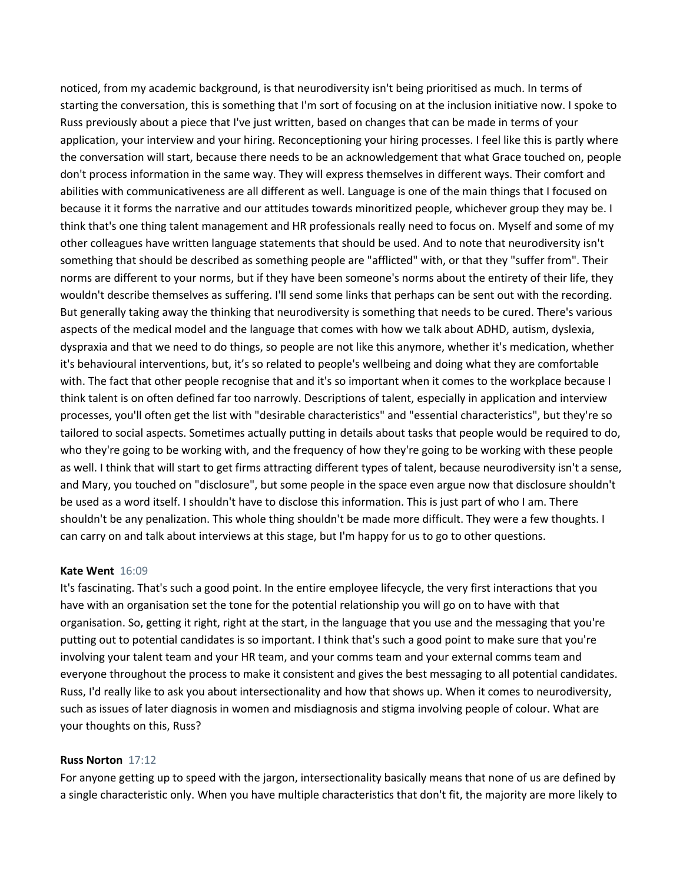noticed, from my academic background, is that neurodiversity isn't being prioritised as much. In terms of starting the conversation, this is something that I'm sort of focusing on at the inclusion initiative now. I spoke to Russ previously about a piece that I've just written, based on changes that can be made in terms of your application, your interview and your hiring. Reconceptioning your hiring processes. I feel like this is partly where the conversation will start, because there needs to be an acknowledgement that what Grace touched on, people don't process information in the same way. They will express themselves in different ways. Their comfort and abilities with communicativeness are all different as well. Language is one of the main things that I focused on because it it forms the narrative and our attitudes towards minoritized people, whichever group they may be. I think that's one thing talent management and HR professionals really need to focus on. Myself and some of my other colleagues have written language statements that should be used. And to note that neurodiversity isn't something that should be described as something people are "afflicted" with, or that they "suffer from". Their norms are different to your norms, but if they have been someone's norms about the entirety of their life, they wouldn't describe themselves as suffering. I'll send some links that perhaps can be sent out with the recording. But generally taking away the thinking that neurodiversity is something that needs to be cured. There's various aspects of the medical model and the language that comes with how we talk about ADHD, autism, dyslexia, dyspraxia and that we need to do things, so people are not like this anymore, whether it's medication, whether it's behavioural interventions, but, it's so related to people's wellbeing and doing what they are comfortable with. The fact that other people recognise that and it's so important when it comes to the workplace because I think talent is on often defined far too narrowly. Descriptions of talent, especially in application and interview processes, you'll often get the list with "desirable characteristics" and "essential characteristics", but they're so tailored to social aspects. Sometimes actually putting in details about tasks that people would be required to do, who they're going to be working with, and the frequency of how they're going to be working with these people as well. I think that will start to get firms attracting different types of talent, because neurodiversity isn't a sense, and Mary, you touched on "disclosure", but some people in the space even argue now that disclosure shouldn't be used as a word itself. I shouldn't have to disclose this information. This is just part of who I am. There shouldn't be any penalization. This whole thing shouldn't be made more difficult. They were a few thoughts. I can carry on and talk about interviews at this stage, but I'm happy for us to go to other questions.

# **Kate Went** 16:09

It's fascinating. That's such a good point. In the entire employee lifecycle, the very first interactions that you have with an organisation set the tone for the potential relationship you will go on to have with that organisation. So, getting it right, right at the start, in the language that you use and the messaging that you're putting out to potential candidates is so important. I think that's such a good point to make sure that you're involving your talent team and your HR team, and your comms team and your external comms team and everyone throughout the process to make it consistent and gives the best messaging to all potential candidates. Russ, I'd really like to ask you about intersectionality and how that shows up. When it comes to neurodiversity, such as issues of later diagnosis in women and misdiagnosis and stigma involving people of colour. What are your thoughts on this, Russ?

### **Russ Norton** 17:12

For anyone getting up to speed with the jargon, intersectionality basically means that none of us are defined by a single characteristic only. When you have multiple characteristics that don't fit, the majority are more likely to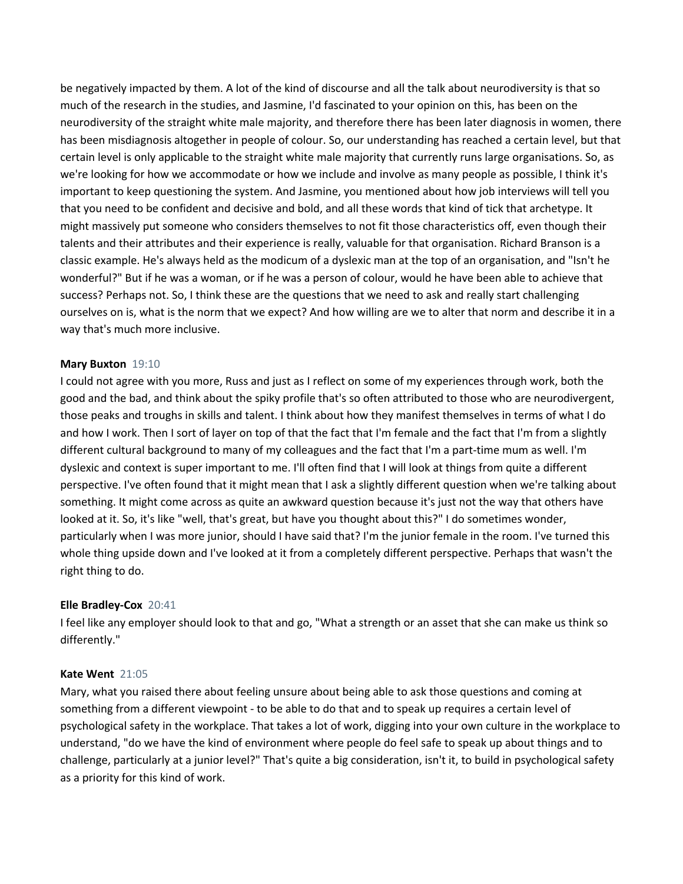be negatively impacted by them. A lot of the kind of discourse and all the talk about neurodiversity is that so much of the research in the studies, and Jasmine, I'd fascinated to your opinion on this, has been on the neurodiversity of the straight white male majority, and therefore there has been later diagnosis in women, there has been misdiagnosis altogether in people of colour. So, our understanding has reached a certain level, but that certain level is only applicable to the straight white male majority that currently runs large organisations. So, as we're looking for how we accommodate or how we include and involve as many people as possible, I think it's important to keep questioning the system. And Jasmine, you mentioned about how job interviews will tell you that you need to be confident and decisive and bold, and all these words that kind of tick that archetype. It might massively put someone who considers themselves to not fit those characteristics off, even though their talents and their attributes and their experience is really, valuable for that organisation. Richard Branson is a classic example. He's always held as the modicum of a dyslexic man at the top of an organisation, and "Isn't he wonderful?" But if he was a woman, or if he was a person of colour, would he have been able to achieve that success? Perhaps not. So, I think these are the questions that we need to ask and really start challenging ourselves on is, what is the norm that we expect? And how willing are we to alter that norm and describe it in a way that's much more inclusive.

# **Mary Buxton** 19:10

I could not agree with you more, Russ and just as I reflect on some of my experiences through work, both the good and the bad, and think about the spiky profile that's so often attributed to those who are neurodivergent, those peaks and troughs in skills and talent. I think about how they manifest themselves in terms of what I do and how I work. Then I sort of layer on top of that the fact that I'm female and the fact that I'm from a slightly different cultural background to many of my colleagues and the fact that I'm a part-time mum as well. I'm dyslexic and context is super important to me. I'll often find that I will look at things from quite a different perspective. I've often found that it might mean that I ask a slightly different question when we're talking about something. It might come across as quite an awkward question because it's just not the way that others have looked at it. So, it's like "well, that's great, but have you thought about this?" I do sometimes wonder, particularly when I was more junior, should I have said that? I'm the junior female in the room. I've turned this whole thing upside down and I've looked at it from a completely different perspective. Perhaps that wasn't the right thing to do.

# **Elle Bradley-Cox** 20:41

I feel like any employer should look to that and go, "What a strength or an asset that she can make us think so differently."

# **Kate Went** 21:05

Mary, what you raised there about feeling unsure about being able to ask those questions and coming at something from a different viewpoint - to be able to do that and to speak up requires a certain level of psychological safety in the workplace. That takes a lot of work, digging into your own culture in the workplace to understand, "do we have the kind of environment where people do feel safe to speak up about things and to challenge, particularly at a junior level?" That's quite a big consideration, isn't it, to build in psychological safety as a priority for this kind of work.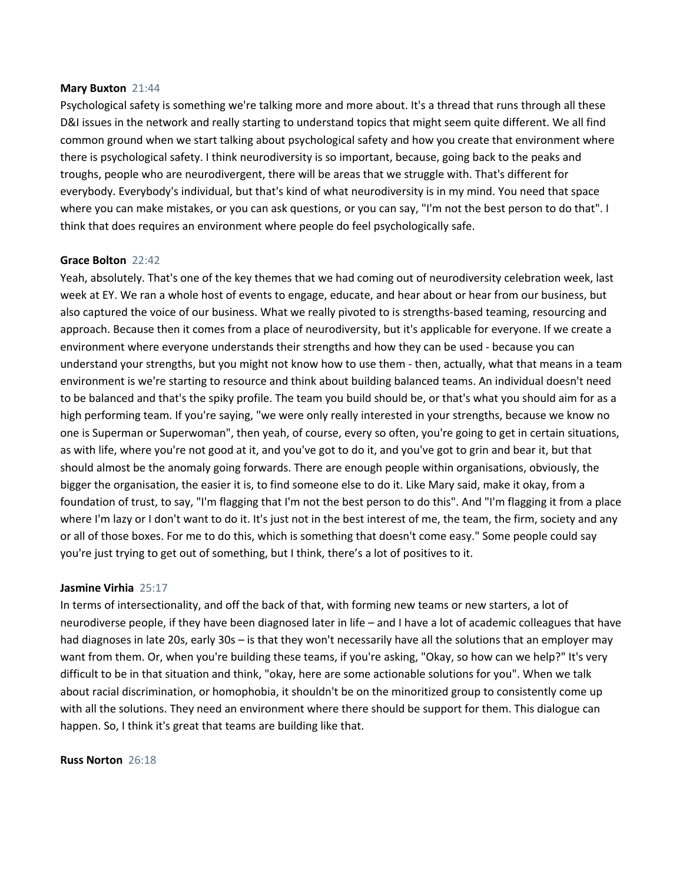#### **Mary Buxton** 21:44

Psychological safety is something we're talking more and more about. It's a thread that runs through all these D&I issues in the network and really starting to understand topics that might seem quite different. We all find common ground when we start talking about psychological safety and how you create that environment where there is psychological safety. I think neurodiversity is so important, because, going back to the peaks and troughs, people who are neurodivergent, there will be areas that we struggle with. That's different for everybody. Everybody's individual, but that's kind of what neurodiversity is in my mind. You need that space where you can make mistakes, or you can ask questions, or you can say, "I'm not the best person to do that". I think that does requires an environment where people do feel psychologically safe.

# **Grace Bolton** 22:42

Yeah, absolutely. That's one of the key themes that we had coming out of neurodiversity celebration week, last week at EY. We ran a whole host of events to engage, educate, and hear about or hear from our business, but also captured the voice of our business. What we really pivoted to is strengths-based teaming, resourcing and approach. Because then it comes from a place of neurodiversity, but it's applicable for everyone. If we create a environment where everyone understands their strengths and how they can be used - because you can understand your strengths, but you might not know how to use them - then, actually, what that means in a team environment is we're starting to resource and think about building balanced teams. An individual doesn't need to be balanced and that's the spiky profile. The team you build should be, or that's what you should aim for as a high performing team. If you're saying, "we were only really interested in your strengths, because we know no one is Superman or Superwoman", then yeah, of course, every so often, you're going to get in certain situations, as with life, where you're not good at it, and you've got to do it, and you've got to grin and bear it, but that should almost be the anomaly going forwards. There are enough people within organisations, obviously, the bigger the organisation, the easier it is, to find someone else to do it. Like Mary said, make it okay, from a foundation of trust, to say, "I'm flagging that I'm not the best person to do this". And "I'm flagging it from a place where I'm lazy or I don't want to do it. It's just not in the best interest of me, the team, the firm, society and any or all of those boxes. For me to do this, which is something that doesn't come easy." Some people could say you're just trying to get out of something, but I think, there's a lot of positives to it.

# **Jasmine Virhia** 25:17

In terms of intersectionality, and off the back of that, with forming new teams or new starters, a lot of neurodiverse people, if they have been diagnosed later in life – and I have a lot of academic colleagues that have had diagnoses in late 20s, early 30s – is that they won't necessarily have all the solutions that an employer may want from them. Or, when you're building these teams, if you're asking, "Okay, so how can we help?" It's very difficult to be in that situation and think, "okay, here are some actionable solutions for you". When we talk about racial discrimination, or homophobia, it shouldn't be on the minoritized group to consistently come up with all the solutions. They need an environment where there should be support for them. This dialogue can happen. So, I think it's great that teams are building like that.

### **Russ Norton** 26:18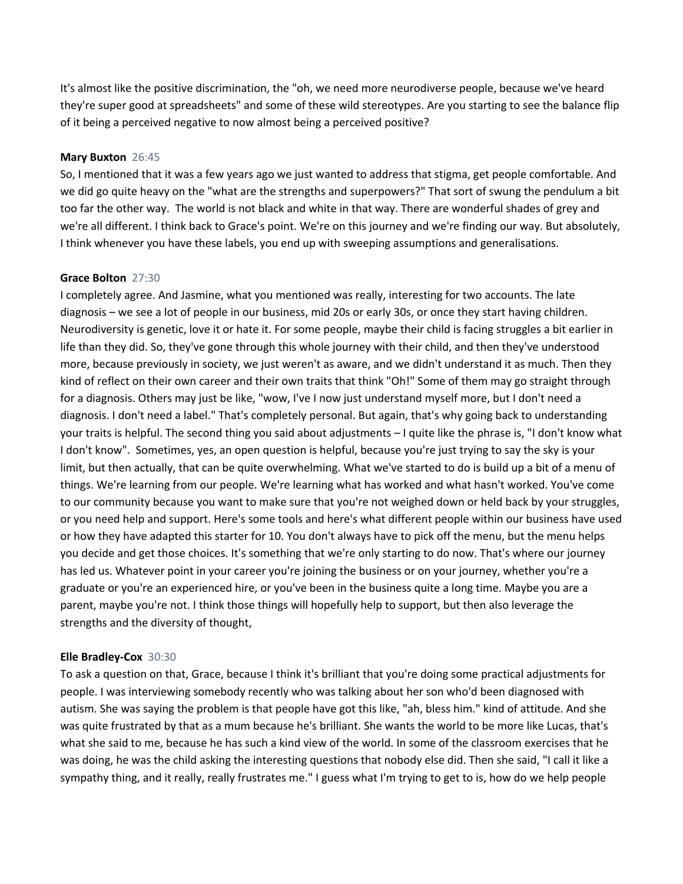It's almost like the positive discrimination, the "oh, we need more neurodiverse people, because we've heard they're super good at spreadsheets" and some of these wild stereotypes. Are you starting to see the balance flip of it being a perceived negative to now almost being a perceived positive?

# **Mary Buxton** 26:45

So, I mentioned that it was a few years ago we just wanted to address that stigma, get people comfortable. And we did go quite heavy on the "what are the strengths and superpowers?" That sort of swung the pendulum a bit too far the other way. The world is not black and white in that way. There are wonderful shades of grey and we're all different. I think back to Grace's point. We're on this journey and we're finding our way. But absolutely, I think whenever you have these labels, you end up with sweeping assumptions and generalisations.

# **Grace Bolton** 27:30

I completely agree. And Jasmine, what you mentioned was really, interesting for two accounts. The late diagnosis – we see a lot of people in our business, mid 20s or early 30s, or once they start having children. Neurodiversity is genetic, love it or hate it. For some people, maybe their child is facing struggles a bit earlier in life than they did. So, they've gone through this whole journey with their child, and then they've understood more, because previously in society, we just weren't as aware, and we didn't understand it as much. Then they kind of reflect on their own career and their own traits that think "Oh!" Some of them may go straight through for a diagnosis. Others may just be like, "wow, I've I now just understand myself more, but I don't need a diagnosis. I don't need a label." That's completely personal. But again, that's why going back to understanding your traits is helpful. The second thing you said about adjustments – I quite like the phrase is, "I don't know what I don't know". Sometimes, yes, an open question is helpful, because you're just trying to say the sky is your limit, but then actually, that can be quite overwhelming. What we've started to do is build up a bit of a menu of things. We're learning from our people. We're learning what has worked and what hasn't worked. You've come to our community because you want to make sure that you're not weighed down or held back by your struggles, or you need help and support. Here's some tools and here's what different people within our business have used or how they have adapted this starter for 10. You don't always have to pick off the menu, but the menu helps you decide and get those choices. It's something that we're only starting to do now. That's where our journey has led us. Whatever point in your career you're joining the business or on your journey, whether you're a graduate or you're an experienced hire, or you've been in the business quite a long time. Maybe you are a parent, maybe you're not. I think those things will hopefully help to support, but then also leverage the strengths and the diversity of thought,

# **Elle Bradley-Cox** 30:30

To ask a question on that, Grace, because I think it's brilliant that you're doing some practical adjustments for people. I was interviewing somebody recently who was talking about her son who'd been diagnosed with autism. She was saying the problem is that people have got this like, "ah, bless him." kind of attitude. And she was quite frustrated by that as a mum because he's brilliant. She wants the world to be more like Lucas, that's what she said to me, because he has such a kind view of the world. In some of the classroom exercises that he was doing, he was the child asking the interesting questions that nobody else did. Then she said, "I call it like a sympathy thing, and it really, really frustrates me." I guess what I'm trying to get to is, how do we help people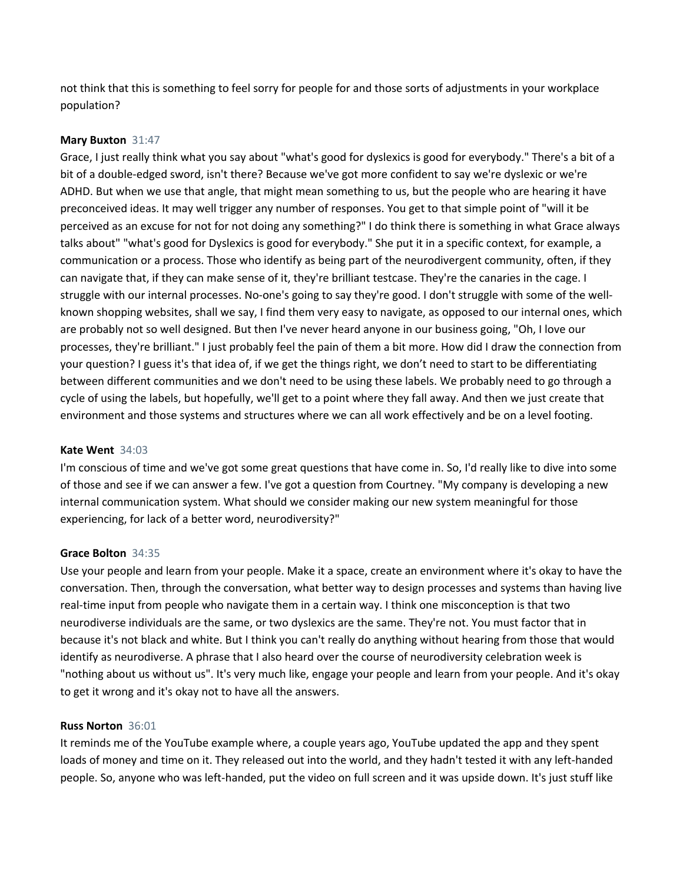not think that this is something to feel sorry for people for and those sorts of adjustments in your workplace population?

# **Mary Buxton** 31:47

Grace, I just really think what you say about "what's good for dyslexics is good for everybody." There's a bit of a bit of a double-edged sword, isn't there? Because we've got more confident to say we're dyslexic or we're ADHD. But when we use that angle, that might mean something to us, but the people who are hearing it have preconceived ideas. It may well trigger any number of responses. You get to that simple point of "will it be perceived as an excuse for not for not doing any something?" I do think there is something in what Grace always talks about" "what's good for Dyslexics is good for everybody." She put it in a specific context, for example, a communication or a process. Those who identify as being part of the neurodivergent community, often, if they can navigate that, if they can make sense of it, they're brilliant testcase. They're the canaries in the cage. I struggle with our internal processes. No-one's going to say they're good. I don't struggle with some of the wellknown shopping websites, shall we say, I find them very easy to navigate, as opposed to our internal ones, which are probably not so well designed. But then I've never heard anyone in our business going, "Oh, I love our processes, they're brilliant." I just probably feel the pain of them a bit more. How did I draw the connection from your question? I guess it's that idea of, if we get the things right, we don't need to start to be differentiating between different communities and we don't need to be using these labels. We probably need to go through a cycle of using the labels, but hopefully, we'll get to a point where they fall away. And then we just create that environment and those systems and structures where we can all work effectively and be on a level footing.

# **Kate Went** 34:03

I'm conscious of time and we've got some great questions that have come in. So, I'd really like to dive into some of those and see if we can answer a few. I've got a question from Courtney. "My company is developing a new internal communication system. What should we consider making our new system meaningful for those experiencing, for lack of a better word, neurodiversity?"

# **Grace Bolton** 34:35

Use your people and learn from your people. Make it a space, create an environment where it's okay to have the conversation. Then, through the conversation, what better way to design processes and systems than having live real-time input from people who navigate them in a certain way. I think one misconception is that two neurodiverse individuals are the same, or two dyslexics are the same. They're not. You must factor that in because it's not black and white. But I think you can't really do anything without hearing from those that would identify as neurodiverse. A phrase that I also heard over the course of neurodiversity celebration week is "nothing about us without us". It's very much like, engage your people and learn from your people. And it's okay to get it wrong and it's okay not to have all the answers.

# **Russ Norton** 36:01

It reminds me of the YouTube example where, a couple years ago, YouTube updated the app and they spent loads of money and time on it. They released out into the world, and they hadn't tested it with any left-handed people. So, anyone who was left-handed, put the video on full screen and it was upside down. It's just stuff like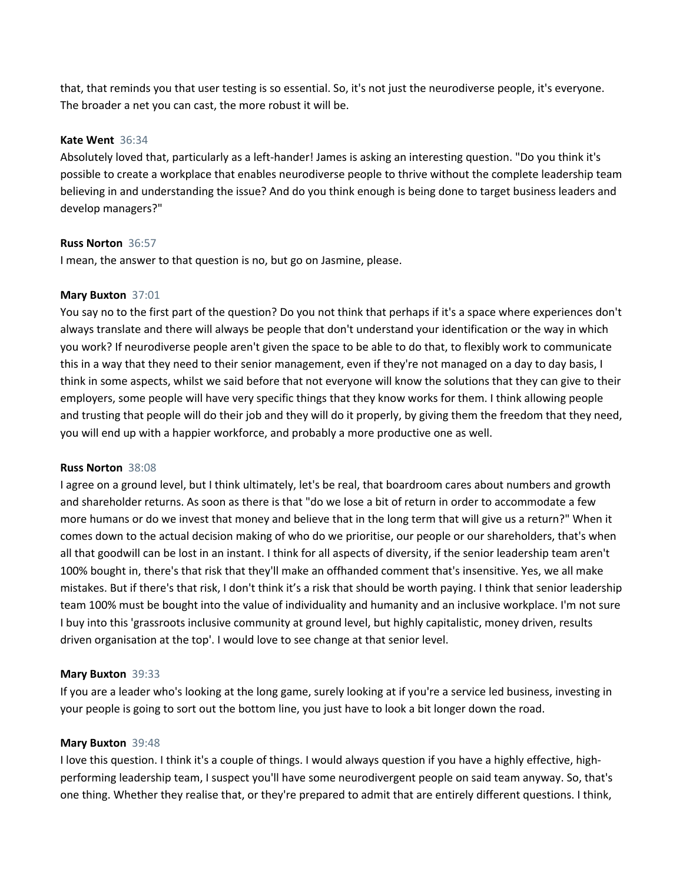that, that reminds you that user testing is so essential. So, it's not just the neurodiverse people, it's everyone. The broader a net you can cast, the more robust it will be.

# **Kate Went** 36:34

Absolutely loved that, particularly as a left-hander! James is asking an interesting question. "Do you think it's possible to create a workplace that enables neurodiverse people to thrive without the complete leadership team believing in and understanding the issue? And do you think enough is being done to target business leaders and develop managers?"

# **Russ Norton** 36:57

I mean, the answer to that question is no, but go on Jasmine, please.

# **Mary Buxton** 37:01

You say no to the first part of the question? Do you not think that perhaps if it's a space where experiences don't always translate and there will always be people that don't understand your identification or the way in which you work? If neurodiverse people aren't given the space to be able to do that, to flexibly work to communicate this in a way that they need to their senior management, even if they're not managed on a day to day basis, I think in some aspects, whilst we said before that not everyone will know the solutions that they can give to their employers, some people will have very specific things that they know works for them. I think allowing people and trusting that people will do their job and they will do it properly, by giving them the freedom that they need, you will end up with a happier workforce, and probably a more productive one as well.

# **Russ Norton** 38:08

I agree on a ground level, but I think ultimately, let's be real, that boardroom cares about numbers and growth and shareholder returns. As soon as there is that "do we lose a bit of return in order to accommodate a few more humans or do we invest that money and believe that in the long term that will give us a return?" When it comes down to the actual decision making of who do we prioritise, our people or our shareholders, that's when all that goodwill can be lost in an instant. I think for all aspects of diversity, if the senior leadership team aren't 100% bought in, there's that risk that they'll make an offhanded comment that's insensitive. Yes, we all make mistakes. But if there's that risk, I don't think it's a risk that should be worth paying. I think that senior leadership team 100% must be bought into the value of individuality and humanity and an inclusive workplace. I'm not sure I buy into this 'grassroots inclusive community at ground level, but highly capitalistic, money driven, results driven organisation at the top'. I would love to see change at that senior level.

# **Mary Buxton** 39:33

If you are a leader who's looking at the long game, surely looking at if you're a service led business, investing in your people is going to sort out the bottom line, you just have to look a bit longer down the road.

# **Mary Buxton** 39:48

I love this question. I think it's a couple of things. I would always question if you have a highly effective, highperforming leadership team, I suspect you'll have some neurodivergent people on said team anyway. So, that's one thing. Whether they realise that, or they're prepared to admit that are entirely different questions. I think,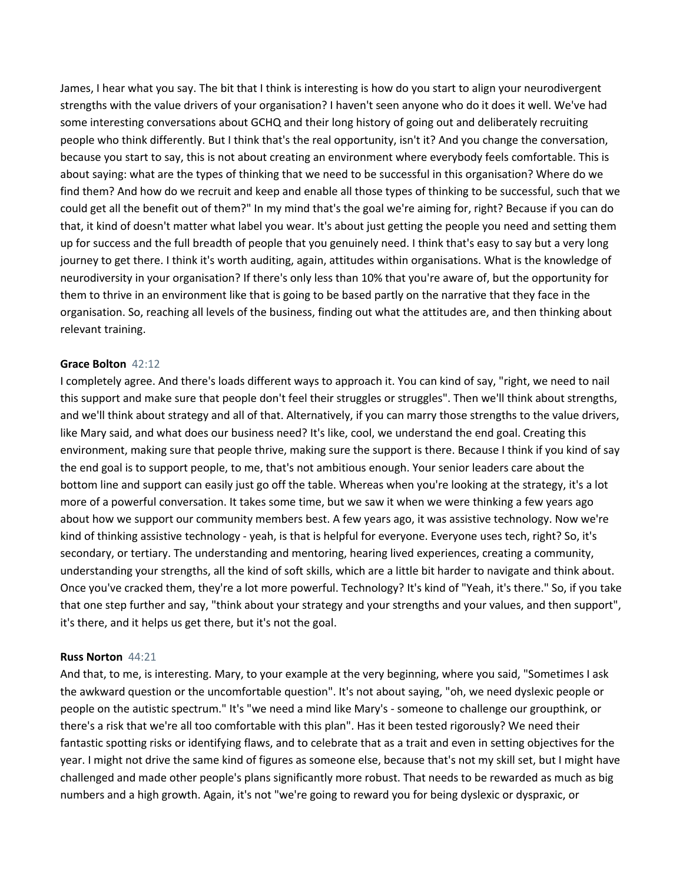James, I hear what you say. The bit that I think is interesting is how do you start to align your neurodivergent strengths with the value drivers of your organisation? I haven't seen anyone who do it does it well. We've had some interesting conversations about GCHQ and their long history of going out and deliberately recruiting people who think differently. But I think that's the real opportunity, isn't it? And you change the conversation, because you start to say, this is not about creating an environment where everybody feels comfortable. This is about saying: what are the types of thinking that we need to be successful in this organisation? Where do we find them? And how do we recruit and keep and enable all those types of thinking to be successful, such that we could get all the benefit out of them?" In my mind that's the goal we're aiming for, right? Because if you can do that, it kind of doesn't matter what label you wear. It's about just getting the people you need and setting them up for success and the full breadth of people that you genuinely need. I think that's easy to say but a very long journey to get there. I think it's worth auditing, again, attitudes within organisations. What is the knowledge of neurodiversity in your organisation? If there's only less than 10% that you're aware of, but the opportunity for them to thrive in an environment like that is going to be based partly on the narrative that they face in the organisation. So, reaching all levels of the business, finding out what the attitudes are, and then thinking about relevant training.

### **Grace Bolton** 42:12

I completely agree. And there's loads different ways to approach it. You can kind of say, "right, we need to nail this support and make sure that people don't feel their struggles or struggles". Then we'll think about strengths, and we'll think about strategy and all of that. Alternatively, if you can marry those strengths to the value drivers, like Mary said, and what does our business need? It's like, cool, we understand the end goal. Creating this environment, making sure that people thrive, making sure the support is there. Because I think if you kind of say the end goal is to support people, to me, that's not ambitious enough. Your senior leaders care about the bottom line and support can easily just go off the table. Whereas when you're looking at the strategy, it's a lot more of a powerful conversation. It takes some time, but we saw it when we were thinking a few years ago about how we support our community members best. A few years ago, it was assistive technology. Now we're kind of thinking assistive technology - yeah, is that is helpful for everyone. Everyone uses tech, right? So, it's secondary, or tertiary. The understanding and mentoring, hearing lived experiences, creating a community, understanding your strengths, all the kind of soft skills, which are a little bit harder to navigate and think about. Once you've cracked them, they're a lot more powerful. Technology? It's kind of "Yeah, it's there." So, if you take that one step further and say, "think about your strategy and your strengths and your values, and then support", it's there, and it helps us get there, but it's not the goal.

# **Russ Norton** 44:21

And that, to me, is interesting. Mary, to your example at the very beginning, where you said, "Sometimes I ask the awkward question or the uncomfortable question". It's not about saying, "oh, we need dyslexic people or people on the autistic spectrum." It's "we need a mind like Mary's - someone to challenge our groupthink, or there's a risk that we're all too comfortable with this plan". Has it been tested rigorously? We need their fantastic spotting risks or identifying flaws, and to celebrate that as a trait and even in setting objectives for the year. I might not drive the same kind of figures as someone else, because that's not my skill set, but I might have challenged and made other people's plans significantly more robust. That needs to be rewarded as much as big numbers and a high growth. Again, it's not "we're going to reward you for being dyslexic or dyspraxic, or